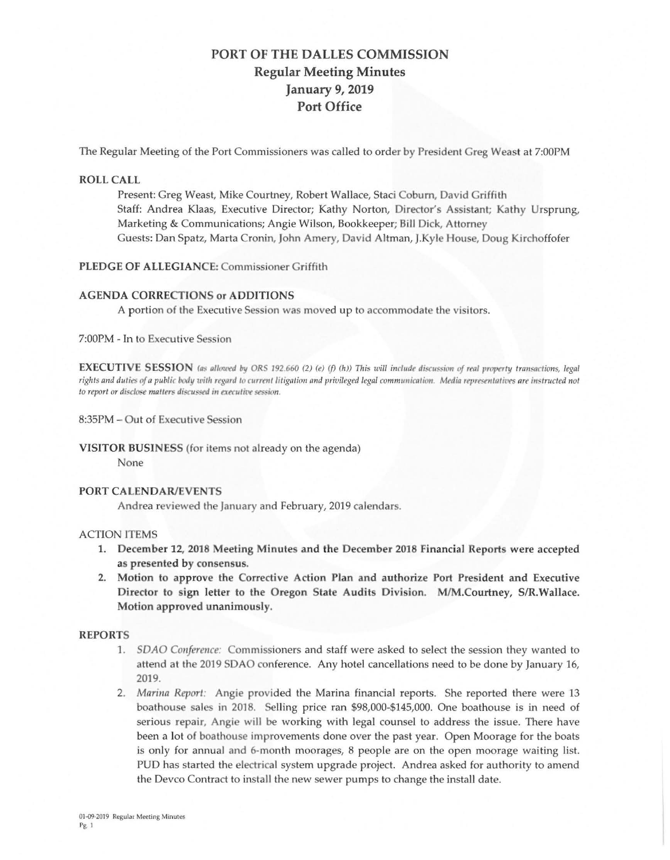# PORT OF THE DALLES COMMISSION **Regular Meeting Minutes January 9, 2019 Port Office**

The Regular Meeting of the Port Commissioners was called to order by President Greg Weast at 7:00PM

#### **ROLL CALL**

Present: Greg Weast, Mike Courtney, Robert Wallace, Staci Coburn, David Griffith Staff: Andrea Klaas, Executive Director; Kathy Norton, Director's Assistant; Kathy Ursprung, Marketing & Communications; Angie Wilson, Bookkeeper; Bill Dick, Attorney Guests: Dan Spatz, Marta Cronin, John Amery, David Altman, J.Kyle House, Doug Kirchoffofer

### PLEDGE OF ALLEGIANCE: Commissioner Griffith

#### **AGENDA CORRECTIONS or ADDITIONS**

A portion of the Executive Session was moved up to accommodate the visitors.

7:00PM - In to Executive Session

**EXECUTIVE SESSION** (as allowed by ORS 192.660 (2) (e) (f) (h)) This will include discussion of real property transactions, legal rights and duties of a public body with regard to current litigation and privileged legal communication. Media representatives are instructed not to report or disclose matters discussed in executive session.

8:35PM - Out of Executive Session

## VISITOR BUSINESS (for items not already on the agenda)

None

#### **PORT CALENDAR/EVENTS**

Andrea reviewed the January and February, 2019 calendars.

#### **ACTION ITEMS**

- 1. December 12, 2018 Meeting Minutes and the December 2018 Financial Reports were accepted as presented by consensus.
- 2. Motion to approve the Corrective Action Plan and authorize Port President and Executive Director to sign letter to the Oregon State Audits Division. M/M.Courtney, S/R.Wallace. Motion approved unanimously.

#### **REPORTS**

- SDAO Conference: Commissioners and staff were asked to select the session they wanted to 1. attend at the 2019 SDAO conference. Any hotel cancellations need to be done by January 16, 2019.
- 2. Marina Report: Angie provided the Marina financial reports. She reported there were 13 boathouse sales in 2018. Selling price ran \$98,000-\$145,000. One boathouse is in need of serious repair, Angie will be working with legal counsel to address the issue. There have been a lot of boathouse improvements done over the past year. Open Moorage for the boats is only for annual and 6-month moorages, 8 people are on the open moorage waiting list. PUD has started the electrical system upgrade project. Andrea asked for authority to amend the Devco Contract to install the new sewer pumps to change the install date.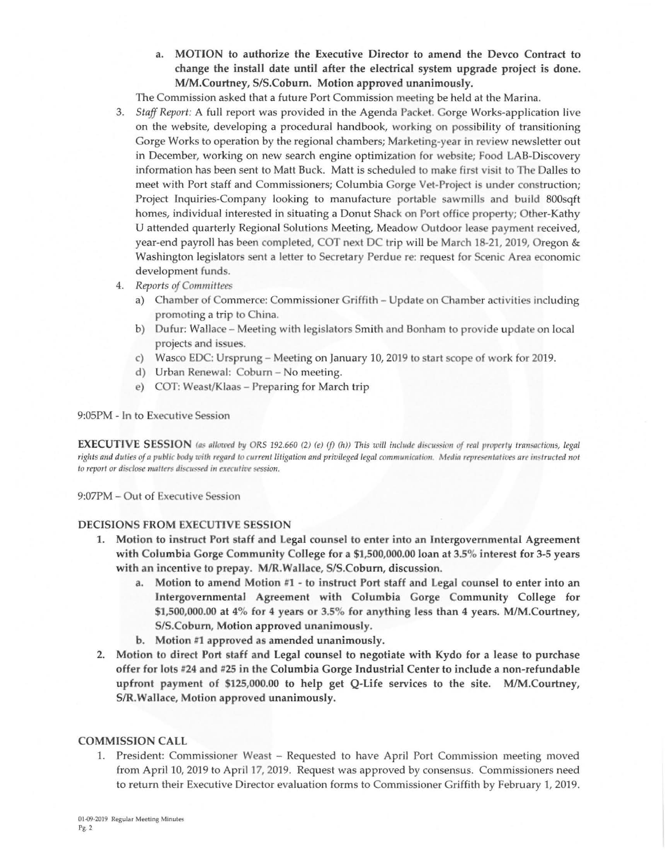a. MOTION to authorize the Executive Director to amend the Devco Contract to change the install date until after the electrical system upgrade project is done. M/M.Courtney, S/S.Coburn. Motion approved unanimously.

The Commission asked that a future Port Commission meeting be held at the Marina.

- 3. *Staff Report:* A full report was provided in the Agenda Packet. Gorge Works-application live on the website, developing a procedural handbook, working on possibility of transitioning Gorge Works to operation by the regional chambers; Marketing-year in review newsletter out in December, working on new search engine optimization for website; Food LAB-Discovery information has been sent to Matt Buck. Matt is scheduled to make first visit to The Dalles to meet with Port staff and Commissioners; Columbia Gorge Vet-Project is under construction; Project Inquiries-Company looking to manufacture portable sawmills and build 800sqft homes, individual interested in situating a Donut Shack on Port office property; Other-Kathy U attended quarterly Regional Solutions Meeting, Meadow Outdoor lease payment received, year-end payroll has been completed, COT next DC trip will be March 18-21, 2019, Oregon & Washington legislators sent a letter to Secretary Perdue re: request for Scenic Area economic development funds.
- 4. *Reports of Committees* 
	- a) Chamber of Commerce: Commissioner Griffith Update on Chamber activities including promoting a trip to China.
	- b) Dufur: Wallace Meeting with legislators Smith and Bonham to provide update on local projects and issues.
	- c) Wasco EDC: Ursprung Meeting on January 10, 2019 to start scope of work for 2019.
	- d) Urban Renewal: Coburn No meeting.
	- e) COT: Weast/Klaas Preparing for March trip

#### 9:05PM - In to Executive Session

**EXECUTIVE SESSION** (as allowed by ORS 192.660 (2) (e) (f) (h)) This will include discussion of real property transactions, legal rights and duties of a public body with regard to current litigation and privileged legal communication. Media representatives are instructed not to report or disclose matters discussed in executive session.

9:07PM - Out of Executive Session

#### **DECISIONS FROM EXECUTIVE SESSION**

- **1. Motion to instruct Port staff and Legal counsel to enter into an Intergovernmental Agreement with Columbia Gorge Community College for a \$1,500 ,000.00 loan at 3.5% interest for 3-5 years**  with an incentive to prepay. M/R.Wallace, S/S.Coburn, discussion.
	- Motion to amend Motion #1 to instruct Port staff and Legal counsel to enter into an **Intergovernmental Agreement with Columbia Gorge Community CoJiege for \$1,500,000.00 at 4% for 4 years or 3.5% for anything less than 4 years. M/M.Courtney, SIS.Coburn, Motion approved unanimously .**
	- **b.** Motion #1 approved as amended unanimously.
- **2. Motion to direct Port staff and Legal counsel to negotiate with Kydo for a lease to purchase offer for lots #24 and 1125 in the Columbia Gorge Industrial Center to include a non-refundable upfront payment of \$125 ,000 .00 to help get Q-Life services to the site. M/M.Courtney, SIR.Wallace, Motion approved unanimously .**

#### **COMMISSION CALL**

1. President: Commissioner Weast – Requested to have April Port Commission meeting moved from April 10, 2019 to April 17, 2019. Request was approved by consensus. Commissioners need to return their Executive Director evaluation forms to Commissioner Griffith by February 1, 2019.